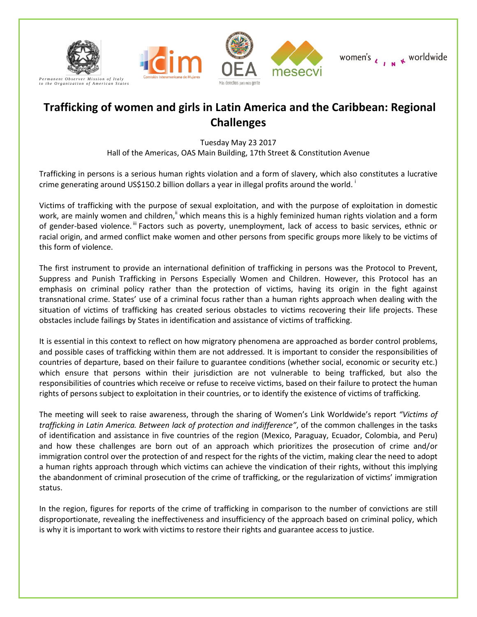

## **Trafficking of women and girls in Latin America and the Caribbean: Regional Challenges**

Tuesday May 23 2017

Hall of the Americas, OAS Main Building, 17th Street & Constitution Avenue

Trafficking in persons is a serious human rights violation and a form of slavery, which also constitutes a lucrative crime generating around US\$150.2 billion dollars a year in illegal profits around the world. <sup>i</sup>

Victims of trafficking with the purpose of sexual exploitation, and with the purpose of exploitation in domestic work, are mainly women and children,<sup>ii</sup> which means this is a highly feminized human rights violation and a form of gender-based violence.<sup>III</sup> Factors such as poverty, unemployment, lack of access to basic services, ethnic or racial origin, and armed conflict make women and other persons from specific groups more likely to be victims of this form of violence.

The first instrument to provide an international definition of trafficking in persons was the Protocol to Prevent, Suppress and Punish Trafficking in Persons Especially Women and Children. However, this Protocol has an emphasis on criminal policy rather than the protection of victims, having its origin in the fight against transnational crime. States' use of a criminal focus rather than a human rights approach when dealing with the situation of victims of trafficking has created serious obstacles to victims recovering their life projects. These obstacles include failings by States in identification and assistance of victims of trafficking.

It is essential in this context to reflect on how migratory phenomena are approached as border control problems, and possible cases of trafficking within them are not addressed. It is important to consider the responsibilities of countries of departure, based on their failure to guarantee conditions (whether social, economic or security etc.) which ensure that persons within their jurisdiction are not vulnerable to being trafficked, but also the responsibilities of countries which receive or refuse to receive victims, based on their failure to protect the human rights of persons subject to exploitation in their countries, or to identify the existence of victims of trafficking.

The meeting will seek to raise awareness, through the sharing of Women's Link Worldwide's report *"Victims of trafficking in Latin America. Between lack of protection and indifference"*, of the common challenges in the tasks of identification and assistance in five countries of the region (Mexico, Paraguay, Ecuador, Colombia, and Peru) and how these challenges are born out of an approach which prioritizes the prosecution of crime and/or immigration control over the protection of and respect for the rights of the victim, making clear the need to adopt a human rights approach through which victims can achieve the vindication of their rights, without this implying the abandonment of criminal prosecution of the crime of trafficking, or the regularization of victims' immigration status.

In the region, figures for reports of the crime of trafficking in comparison to the number of convictions are still disproportionate, revealing the ineffectiveness and insufficiency of the approach based on criminal policy, which is why it is important to work with victims to restore their rights and guarantee access to justice.